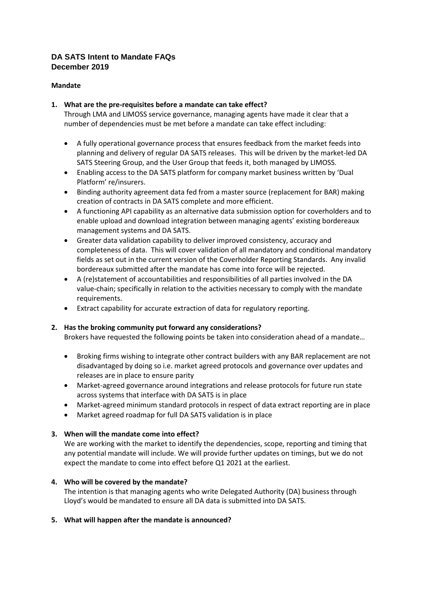# **DA SATS Intent to Mandate FAQs December 2019**

### **Mandate**

## **1. What are the pre-requisites before a mandate can take effect?**

Through LMA and LIMOSS service governance, managing agents have made it clear that a number of dependencies must be met before a mandate can take effect including:

- A fully operational governance process that ensures feedback from the market feeds into planning and delivery of regular DA SATS releases. This will be driven by the market-led DA SATS Steering Group, and the User Group that feeds it, both managed by LIMOSS.
- Enabling access to the DA SATS platform for company market business written by 'Dual Platform' re/insurers.
- Binding authority agreement data fed from a master source (replacement for BAR) making creation of contracts in DA SATS complete and more efficient.
- A functioning API capability as an alternative data submission option for coverholders and to enable upload and download integration between managing agents' existing bordereaux management systems and DA SATS.
- Greater data validation capability to deliver improved consistency, accuracy and completeness of data. This will cover validation of all mandatory and conditional mandatory fields as set out in the current version of the Coverholder Reporting Standards. Any invalid bordereaux submitted after the mandate has come into force will be rejected.
- A (re)statement of accountabilities and responsibilities of all parties involved in the DA value-chain; specifically in relation to the activities necessary to comply with the mandate requirements.
- Extract capability for accurate extraction of data for regulatory reporting.

### **2. Has the broking community put forward any considerations?**

Brokers have requested the following points be taken into consideration ahead of a mandate…

- Broking firms wishing to integrate other contract builders with any BAR replacement are not disadvantaged by doing so i.e. market agreed protocols and governance over updates and releases are in place to ensure parity
- Market-agreed governance around integrations and release protocols for future run state across systems that interface with DA SATS is in place
- Market-agreed minimum standard protocols in respect of data extract reporting are in place
- Market agreed roadmap for full DA SATS validation is in place

### **3. When will the mandate come into effect?**

We are working with the market to identify the dependencies, scope, reporting and timing that any potential mandate will include. We will provide further updates on timings, but we do not expect the mandate to come into effect before Q1 2021 at the earliest.

### **4. Who will be covered by the mandate?**

The intention is that managing agents who write Delegated Authority (DA) business through Lloyd's would be mandated to ensure all DA data is submitted into DA SATS.

### **5. What will happen after the mandate is announced?**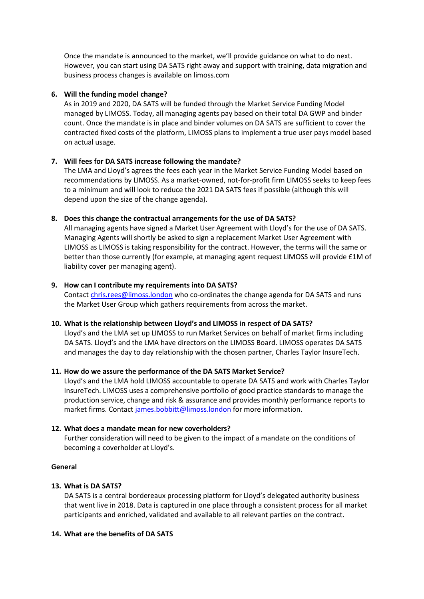Once the mandate is announced to the market, we'll provide guidance on what to do next. However, you can start using DA SATS right away and support with training, data migration and business process changes is available on limoss.com

### **6. Will the funding model change?**

As in 2019 and 2020, DA SATS will be funded through the Market Service Funding Model managed by LIMOSS. Today, all managing agents pay based on their total DA GWP and binder count. Once the mandate is in place and binder volumes on DA SATS are sufficient to cover the contracted fixed costs of the platform, LIMOSS plans to implement a true user pays model based on actual usage.

## **7. Will fees for DA SATS increase following the mandate?**

The LMA and Lloyd's agrees the fees each year in the Market Service Funding Model based on recommendations by LIMOSS. As a market-owned, not-for-profit firm LIMOSS seeks to keep fees to a minimum and will look to reduce the 2021 DA SATS fees if possible (although this will depend upon the size of the change agenda).

### **8. Does this change the contractual arrangements for the use of DA SATS?**

All managing agents have signed a Market User Agreement with Lloyd's for the use of DA SATS. Managing Agents will shortly be asked to sign a replacement Market User Agreement with LIMOSS as LIMOSS is taking responsibility for the contract. However, the terms will the same or better than those currently (for example, at managing agent request LIMOSS will provide £1M of liability cover per managing agent).

### **9. How can I contribute my requirements into DA SATS?**

Contact [chris.rees@limoss.london](mailto:chris.rees@limoss.london) who co-ordinates the change agenda for DA SATS and runs the Market User Group which gathers requirements from across the market.

## **10. What is the relationship between Lloyd's and LIMOSS in respect of DA SATS?**

Lloyd's and the LMA set up LIMOSS to run Market Services on behalf of market firms including DA SATS. Lloyd's and the LMA have directors on the LIMOSS Board. LIMOSS operates DA SATS and manages the day to day relationship with the chosen partner, Charles Taylor InsureTech.

### **11. How do we assure the performance of the DA SATS Market Service?**

Lloyd's and the LMA hold LIMOSS accountable to operate DA SATS and work with Charles Taylor InsureTech. LIMOSS uses a comprehensive portfolio of good practice standards to manage the production service, change and risk & assurance and provides monthly performance reports to market firms. Contact [james.bobbitt@limoss.london](mailto:james.bobbitt@limoss.london) for more information.

### **12. What does a mandate mean for new coverholders?**

Further consideration will need to be given to the impact of a mandate on the conditions of becoming a coverholder at Lloyd's.

### **General**

## **13. What is DA SATS?**

DA SATS is a central bordereaux processing platform for Lloyd's delegated authority business that went live in 2018. Data is captured in one place through a consistent process for all market participants and enriched, validated and available to all relevant parties on the contract.

### **14. What are the benefits of DA SATS**